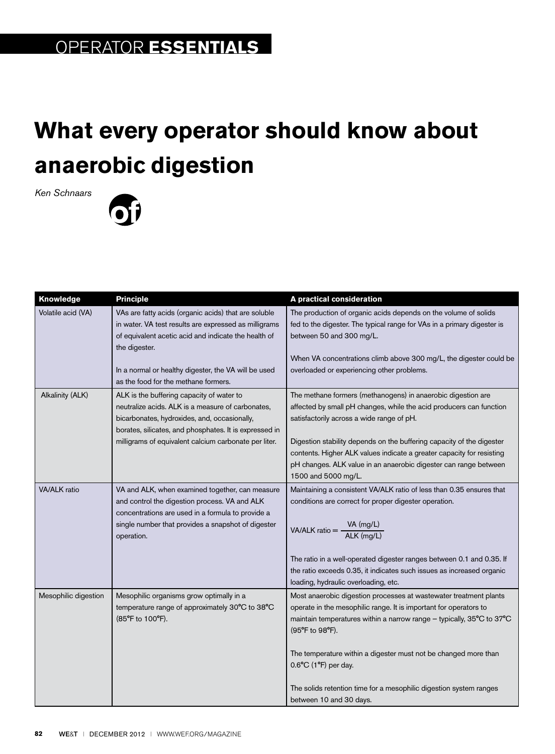## **What every operator should know about anaerobic digestion**

*Ken Schnaars*



| Knowledge            | <b>Principle</b>                                                                                  | A practical consideration                                                                                                                      |
|----------------------|---------------------------------------------------------------------------------------------------|------------------------------------------------------------------------------------------------------------------------------------------------|
| Volatile acid (VA)   | VAs are fatty acids (organic acids) that are soluble                                              | The production of organic acids depends on the volume of solids                                                                                |
|                      | in water. VA test results are expressed as milligrams                                             | fed to the digester. The typical range for VAs in a primary digester is                                                                        |
|                      | of equivalent acetic acid and indicate the health of                                              | between 50 and 300 mg/L.                                                                                                                       |
|                      | the digester.                                                                                     |                                                                                                                                                |
|                      |                                                                                                   | When VA concentrations climb above 300 mg/L, the digester could be                                                                             |
|                      | In a normal or healthy digester, the VA will be used                                              | overloaded or experiencing other problems.                                                                                                     |
|                      | as the food for the methane formers.                                                              |                                                                                                                                                |
| Alkalinity (ALK)     | ALK is the buffering capacity of water to                                                         | The methane formers (methanogens) in anaerobic digestion are                                                                                   |
|                      | neutralize acids. ALK is a measure of carbonates,<br>bicarbonates, hydroxides, and, occasionally, | affected by small pH changes, while the acid producers can function<br>satisfactorily across a wide range of pH.                               |
|                      | borates, silicates, and phosphates. It is expressed in                                            |                                                                                                                                                |
|                      | milligrams of equivalent calcium carbonate per liter.                                             | Digestion stability depends on the buffering capacity of the digester                                                                          |
|                      |                                                                                                   | contents. Higher ALK values indicate a greater capacity for resisting                                                                          |
|                      |                                                                                                   | pH changes. ALK value in an anaerobic digester can range between                                                                               |
|                      |                                                                                                   | 1500 and 5000 mg/L.                                                                                                                            |
| <b>VA/ALK</b> ratio  | VA and ALK, when examined together, can measure                                                   | Maintaining a consistent VA/ALK ratio of less than 0.35 ensures that                                                                           |
|                      | and control the digestion process. VA and ALK                                                     | conditions are correct for proper digester operation.                                                                                          |
|                      | concentrations are used in a formula to provide a                                                 |                                                                                                                                                |
|                      | single number that provides a snapshot of digester                                                | VA/ALK ratio = $\frac{VA \ (mg/L)}{ALK \ (mg/L)}$                                                                                              |
|                      | operation.                                                                                        |                                                                                                                                                |
|                      |                                                                                                   |                                                                                                                                                |
|                      |                                                                                                   | The ratio in a well-operated digester ranges between 0.1 and 0.35. If<br>the ratio exceeds 0.35, it indicates such issues as increased organic |
|                      |                                                                                                   | loading, hydraulic overloading, etc.                                                                                                           |
| Mesophilic digestion | Mesophilic organisms grow optimally in a                                                          | Most anaerobic digestion processes at wastewater treatment plants                                                                              |
|                      | temperature range of approximately 30°C to 38°C                                                   | operate in the mesophilic range. It is important for operators to                                                                              |
|                      | (85°F to 100°F).                                                                                  | maintain temperatures within a narrow range - typically, 35°C to 37°C                                                                          |
|                      |                                                                                                   | (95°F to 98°F).                                                                                                                                |
|                      |                                                                                                   |                                                                                                                                                |
|                      |                                                                                                   | The temperature within a digester must not be changed more than                                                                                |
|                      |                                                                                                   | $0.6$ °C (1°F) per day.                                                                                                                        |
|                      |                                                                                                   |                                                                                                                                                |
|                      |                                                                                                   | The solids retention time for a mesophilic digestion system ranges                                                                             |
|                      |                                                                                                   | between 10 and 30 days.                                                                                                                        |